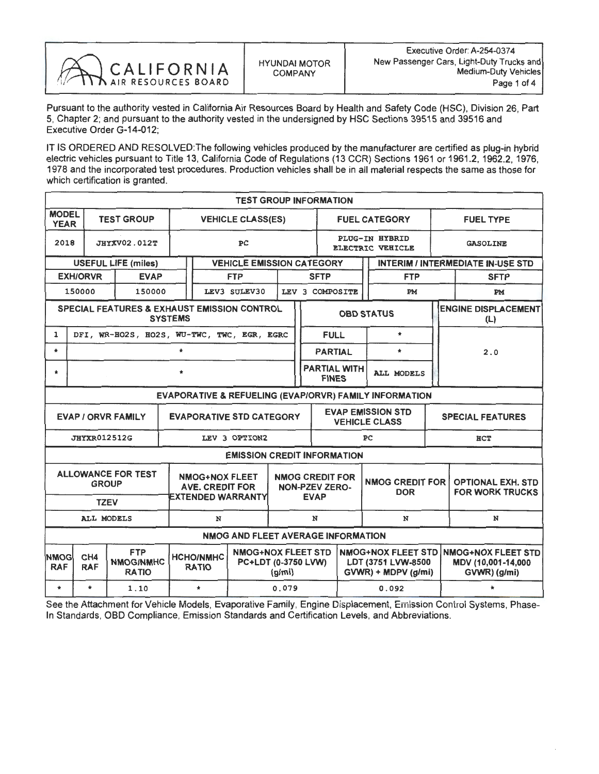

Pursuant to the authority vested in California Air Resources Board by Health and Safety Code (HSC), Division 26, Part 5, Chapter 2; and pursuant to the authority vested in the undersigned by HSC Sections 39515 and 39516 and Executive Order G-14-012;

IT IS ORDERED AND RESOLVED: The following vehicles produced by the manufacturer are certified as plug-in hybrid electric vehicles pursuant to Title 13, California Code of Regulations (13 CCR) Sections 1961 or 1961.2, 1962.2, 1976, 1978 and the incorporated test procedures. Production vehicles shall be in all material respects the same as those for which certification is granted.

|                                                                                                                                  |                                    |                                                |                |                                  | <b>TEST GROUP INFORMATION</b>                                     |       |                                                                |                                                                        |            |                 |                      |                                                    |                                                                 |                                          |  |
|----------------------------------------------------------------------------------------------------------------------------------|------------------------------------|------------------------------------------------|----------------|----------------------------------|-------------------------------------------------------------------|-------|----------------------------------------------------------------|------------------------------------------------------------------------|------------|-----------------|----------------------|----------------------------------------------------|-----------------------------------------------------------------|------------------------------------------|--|
| <b>MODEL</b><br><b>YEAR</b>                                                                                                      |                                    | <b>TEST GROUP</b>                              |                |                                  | <b>VEHICLE CLASS(ES)</b>                                          |       |                                                                |                                                                        |            |                 | <b>FUEL CATEGORY</b> |                                                    | <b>FUEL TYPE</b>                                                |                                          |  |
| 2018                                                                                                                             | <b>JHYXV02.012T</b>                |                                                |                | PC                               |                                                                   |       |                                                                | <b>PLUG-IN HYBRID</b><br><b>ELECTRIC VEHICLE</b>                       |            |                 |                      | <b>GASOLINE</b>                                    |                                                                 |                                          |  |
|                                                                                                                                  |                                    | <b>USEFUL LIFE (miles)</b>                     |                |                                  | <b>VEHICLE EMISSION CATEGORY</b>                                  |       |                                                                |                                                                        |            |                 |                      |                                                    |                                                                 | <b>INTERIM / INTERMEDIATE IN-USE STD</b> |  |
|                                                                                                                                  | <b>EXH/ORVR</b>                    | <b>EVAP</b>                                    |                |                                  | <b>FTP</b>                                                        |       |                                                                | <b>SFTP</b><br><b>FTP</b>                                              |            |                 |                      |                                                    |                                                                 | <b>SFTP</b>                              |  |
|                                                                                                                                  | 150000                             | 150000                                         |                |                                  | LEV3 SULEV30                                                      |       |                                                                | LEV 3 COMPOSITE                                                        |            |                 | PM                   |                                                    |                                                                 | PM                                       |  |
|                                                                                                                                  |                                    | SPECIAL FEATURES & EXHAUST EMISSION CONTROL    | <b>SYSTEMS</b> |                                  |                                                                   |       |                                                                |                                                                        |            |                 | <b>OBD STATUS</b>    |                                                    |                                                                 | <b>ENGINE DISPLACEMENT</b><br>(L)        |  |
| $\mathbf{1}$                                                                                                                     |                                    | DFI, WR-HO2S, HO2S, WU-TWC, TWC, EGR, EGRC     |                |                                  |                                                                   |       |                                                                | <b>FULL</b>                                                            |            |                 | $\star$              |                                                    | 2.0                                                             |                                          |  |
| $\star$                                                                                                                          |                                    |                                                | $\star$        |                                  |                                                                   |       |                                                                | <b>PARTIAL</b>                                                         |            |                 | $\star$              |                                                    |                                                                 |                                          |  |
| $\star$                                                                                                                          | $\star$                            |                                                |                |                                  |                                                                   |       | <b>PARTIAL WITH</b><br>ALL MODELS<br><b>FINES</b>              |                                                                        |            |                 |                      |                                                    |                                                                 |                                          |  |
| EVAPORATIVE & REFUELING (EVAP/ORVR) FAMILY INFORMATION                                                                           |                                    |                                                |                |                                  |                                                                   |       |                                                                |                                                                        |            |                 |                      |                                                    |                                                                 |                                          |  |
| <b>EVAPORATIVE STD CATEGORY</b><br><b>EVAP / ORVR FAMILY</b>                                                                     |                                    |                                                |                |                                  |                                                                   |       |                                                                | <b>EVAP EMISSION STD</b><br><b>VEHICLE CLASS</b>                       |            |                 |                      | <b>SPECIAL FEATURES</b>                            |                                                                 |                                          |  |
| <b>JHYXR012512G</b><br>LEV 3 OPTION2                                                                                             |                                    |                                                |                | PC                               |                                                                   |       |                                                                | <b>HCT</b>                                                             |            |                 |                      |                                                    |                                                                 |                                          |  |
|                                                                                                                                  |                                    |                                                |                |                                  | <b>EMISSION CREDIT INFORMATION</b>                                |       |                                                                |                                                                        |            |                 |                      |                                                    |                                                                 |                                          |  |
| <b>ALLOWANCE FOR TEST</b><br><b>NMOG+NOX FLEET</b><br><b>GROUP</b><br><b>AVE. CREDIT FOR</b><br>EXTENDED WARRANTY<br><b>TZEV</b> |                                    |                                                |                |                                  |                                                                   |       | <b>NMOG CREDIT FOR</b><br><b>NON-PZEV ZERO-</b><br><b>EVAP</b> |                                                                        | <b>DOR</b> | NMOG CREDIT FOR |                      | <b>OPTIONAL EXH. STD</b><br><b>FOR WORK TRUCKS</b> |                                                                 |                                          |  |
| ALL MODELS<br>N                                                                                                                  |                                    |                                                |                |                                  |                                                                   | N     |                                                                |                                                                        | N          | N               |                      |                                                    |                                                                 |                                          |  |
|                                                                                                                                  | NMOG AND FLEET AVERAGE INFORMATION |                                                |                |                                  |                                                                   |       |                                                                |                                                                        |            |                 |                      |                                                    |                                                                 |                                          |  |
| <b>NMOGI</b><br><b>RAF</b>                                                                                                       | CH <sub>4</sub><br><b>RAF</b>      | <b>FTP</b><br><b>NMOG/NMHC</b><br><b>RATIO</b> |                | <b>HCHO/NMHC</b><br><b>RATIO</b> | <b>NMOG+NOX FLEET STD</b><br>PC+LDT (0-3750 LVW)<br>$\frac{q}{m}$ |       |                                                                | <b>NMOG+NOX FLEET STD</b><br>LDT (3751 LVW-8500<br>GVWR) + MDPV (g/mi) |            |                 |                      |                                                    | <b>NMOG+NOX FLEET STD</b><br>MDV (10,001-14,000<br>GVWR) (g/mi) |                                          |  |
| $\star$                                                                                                                          | $\star$                            | 1.10                                           |                | $\star$                          |                                                                   | 0.079 |                                                                |                                                                        |            |                 | 0.092                |                                                    |                                                                 | $\star$                                  |  |

See the Attachment for Vehicle Models, Evaporative Family, Engine Displacement, Emission Control Systems, Phase-In Standards, OBD Compliance, Emission Standards and Certification Levels, and Abbreviations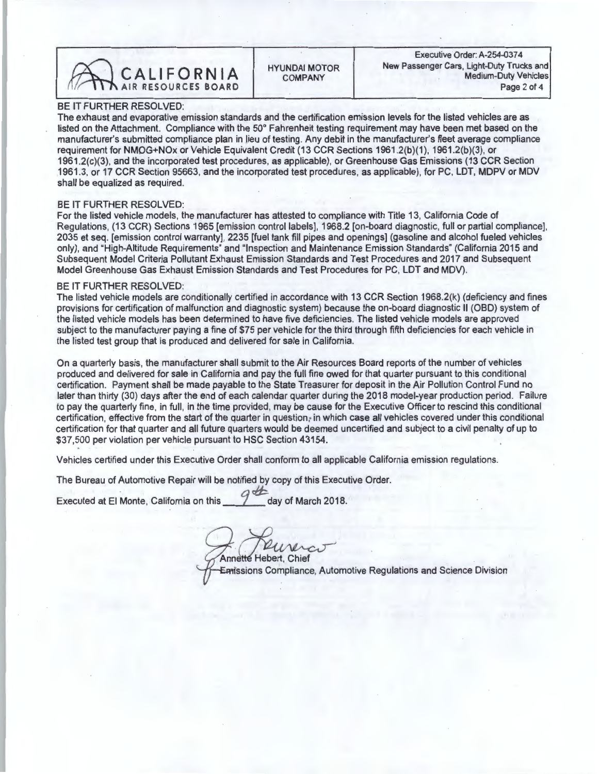

## BE IT FURTHER RESOLVED:

The exhaust and evaporative emission standards and the certification emission levels for the listed vehicles are as listed on the Attachment. Compliance with the 50° Fahrenheit testing requirement may have been met based on the manufacturer's submitted compliance plan in lieu of testing. Any debit in the manufacturer's fleet average compliance<br>requirement for NMOG+NOx or Vehicle Equivalent Credit (13 CCR Sections 1961.2(b)(1), 1961.2(b)(3), or 1961.2(c)(3), and the incorporated test procedures, as applicable), or Greenhouse Gas Emissions (13 CCR Section 1961.2( $C_1(3)$ , and the incorporated test procedures, as applicable), or Greenhouse Gas Emissions (13 CCR Section 1961.3, or 17 CCR Section 95663, and the incorporated test procedures, as applicable), for PC, LDT, MDPV or MDV shall be equalized as required.

## BE IT FURTHER RESOLVED:

For the listed vehicle models, the manufacturer has attested to compliance with Title 13, California Code of Regulations, (13 CCR) Sections 1965 [emission control labels], 1968.2 [on-board diagnostic, full or partial compliance], 2035 et seq. [emission control warranty], 2235 [fuel tank fill pipes and openings] (gasoline and alco 2035 et seq. [emission control warranty], 2235 [fuel tank fill pipes and openings] (gasoline and alcohol fueled vehicles only), and "High-Altitude Requirements" and "Inspection and Maintenance Emission Standards" (California 2015 and Subsequent Model Criteria Pollutant Exhaust Emission Standards and Test Procedures and 2017 and Subsequent Model Greenhouse Gas Exhaust Emission Standards and Test Procedures for PC, LDT and MDV).

## BE IT FURTHER RESOLVED

The listed vehicle models are conditionally certified in accordance with 13 CCR Section 1968.2(k) (deficiency and fines provisions for certification of malfunction and diagnostic system) because the on-board diagnostic II (OBD) system of the listed vehicle models has been determined to have five deficiencies. The listed vehicle models are approved subject to the manufacturer paying a fine of \$75 per vehicle for the third through fifth deficiencies for each vehicle in the listed test group that is produced and delivered for sale in California.

On a quarterly basis, the manufacturer shall submit to the Air Resources Board reports of the number of vehicles produced and delivered for sale in California and pay the full fine owed for that quarter pursuant to this conditional<br>certification. Payment shall be made payable to the State Treasurer for deposit in the Air Pollution Co certification. Payment shall be made payable to the State Treasurer for deposit in the Air Pollution Control Fund no later than thirty (30) days after the end of each calendar quarter during the 2018 model-year production period. Failure to pay the quarterly fine, in full, in the time provided, may be cause for the Executive Officer to rescind this conditional certification, effective from the start of the quarter in question; in which case all vehicles covered under this conditional certification for that quarter and all future quarters would be deemed uncertified and subject to a civil penalty of up to \$37,500 per violation per vehicle pursuant to HSC Section 43154.

Vehicles certified under this Executive Order shall conform to all applicable California emission regulations.

The Bureau of Automotive Repair will be notified by copy of this Executive Order.

Executed at El Monte, California on this <sup>2</sup> day of March 2018.

**Annette Hebert, Chief** 

Emissions Compliance, Automotive Regulations and Science Division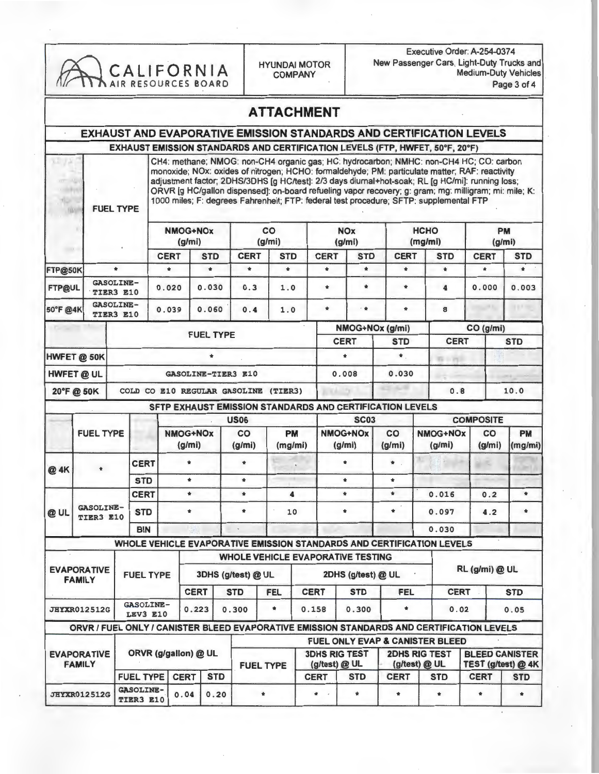|               |                                                                                           |                  |                               | CALIFORNIA<br>AIR RESOURCES BOARD |                          |                                                                                                                                                                                                                                                                                                                                                                                                                                                                                                | <b>HYUNDAI MOTOR</b>  | <b>COMPANY</b>       |                                                                                                                  |                       |                                       |             | Executive Order: A-254-0374<br>New Passenger Cars, Light-Duty Trucks and |                          | <b>Medium-Duty Vehicles</b><br>Page 3 of 4 |
|---------------|-------------------------------------------------------------------------------------------|------------------|-------------------------------|-----------------------------------|--------------------------|------------------------------------------------------------------------------------------------------------------------------------------------------------------------------------------------------------------------------------------------------------------------------------------------------------------------------------------------------------------------------------------------------------------------------------------------------------------------------------------------|-----------------------|----------------------|------------------------------------------------------------------------------------------------------------------|-----------------------|---------------------------------------|-------------|--------------------------------------------------------------------------|--------------------------|--------------------------------------------|
|               |                                                                                           |                  |                               |                                   |                          |                                                                                                                                                                                                                                                                                                                                                                                                                                                                                                | <b>ATTACHMENT</b>     |                      |                                                                                                                  |                       |                                       |             |                                                                          |                          |                                            |
|               |                                                                                           |                  |                               |                                   |                          | <b>EXHAUST AND EVAPORATIVE EMISSION STANDARDS AND CERTIFICATION LEVELS</b>                                                                                                                                                                                                                                                                                                                                                                                                                     |                       |                      |                                                                                                                  |                       |                                       |             |                                                                          |                          |                                            |
|               |                                                                                           |                  |                               |                                   |                          | EXHAUST EMISSION STANDARDS AND CERTIFICATION LEVELS (FTP, HWFET, 50°F, 20°F)                                                                                                                                                                                                                                                                                                                                                                                                                   |                       |                      |                                                                                                                  |                       |                                       |             |                                                                          |                          |                                            |
|               |                                                                                           | <b>FUEL TYPE</b> |                               |                                   |                          | CH4: methane; NMOG: non-CH4 organic gas; HC: hydrocarbon; NMHC: non-CH4 HC; CO: carbon<br>monoxide; NOx: oxides of nitrogen; HCHO: formaldehyde; PM: particulate matter; RAF: reactivity<br>adjustment factor; 2DHS/3DHS [g HC/test]: 2/3 days diumal+hot-soak; RL [g HC/mi]: running loss;<br>ORVR [g HC/gallon dispensed]: on-board refueling vapor recovery; g: gram; mg: milligram; mi: mile; K:<br>1000 miles; F: degrees Fahrenheit; FTP: federal test procedure; SFTP: supplemental FTP |                       |                      |                                                                                                                  |                       |                                       |             |                                                                          |                          |                                            |
|               |                                                                                           |                  |                               | <b>NMOG+NOx</b>                   |                          |                                                                                                                                                                                                                                                                                                                                                                                                                                                                                                | co                    |                      | <b>NOx</b>                                                                                                       |                       |                                       | <b>HCHO</b> |                                                                          | <b>PM</b>                |                                            |
|               |                                                                                           |                  |                               | (q/mi)                            |                          |                                                                                                                                                                                                                                                                                                                                                                                                                                                                                                | (g/mi)                |                      |                                                                                                                  | (g/m)                 |                                       | (mg/mi)     |                                                                          | (g/mi)                   |                                            |
| FTP@50K       |                                                                                           | $\star$          |                               | <b>CERT</b><br>$\star$            | <b>STD</b><br>$\star$    | <b>CERT</b><br>$\star$                                                                                                                                                                                                                                                                                                                                                                                                                                                                         | <b>STD</b><br>$\star$ |                      | <b>CERT</b><br>$\star$                                                                                           | <b>STD</b><br>$\star$ | <b>CERT</b><br>$\bullet$              |             | <b>STD</b><br>$\star$                                                    | <b>CERT</b><br>$\bullet$ | <b>STD</b><br>$\star$                      |
|               | <b>GASOLINE-</b>                                                                          |                  |                               |                                   |                          |                                                                                                                                                                                                                                                                                                                                                                                                                                                                                                |                       |                      |                                                                                                                  |                       |                                       |             |                                                                          |                          |                                            |
| <b>FTP@UL</b> | TIER3 E10                                                                                 |                  |                               | 0.020                             | 0.030                    | 0.3                                                                                                                                                                                                                                                                                                                                                                                                                                                                                            | 1.0                   |                      | *                                                                                                                | $\star$               | $\ast$                                |             | 4                                                                        | 0.000                    | 0.003                                      |
| 50°F @4K      | <b>GASOLINE-</b><br>TIER3 E10                                                             |                  |                               | 0.039                             | 0.060                    | 0.4                                                                                                                                                                                                                                                                                                                                                                                                                                                                                            | 1.0                   |                      | $\star$                                                                                                          | $\mathbf{t}$          | $\bullet$                             |             | 8                                                                        |                          |                                            |
|               |                                                                                           |                  |                               |                                   | <b>FUEL TYPE</b>         |                                                                                                                                                                                                                                                                                                                                                                                                                                                                                                |                       |                      |                                                                                                                  |                       | NMOG+NOx (g/mi)                       |             |                                                                          | CO (g/mi)                |                                            |
|               |                                                                                           |                  |                               |                                   |                          |                                                                                                                                                                                                                                                                                                                                                                                                                                                                                                |                       |                      |                                                                                                                  | <b>CERT</b>           | <b>STD</b>                            |             | <b>CERT</b>                                                              |                          | <b>STD</b>                                 |
|               | HWFET @ 50K                                                                               |                  |                               |                                   |                          |                                                                                                                                                                                                                                                                                                                                                                                                                                                                                                |                       |                      |                                                                                                                  | $\bullet$             | $\pmb{\ast}$ .                        |             | <b>WE OVER</b>                                                           |                          |                                            |
|               | <b>HWFET @ UL</b>                                                                         |                  |                               |                                   |                          | <b>GASOLINE-TIER3 E10</b>                                                                                                                                                                                                                                                                                                                                                                                                                                                                      |                       |                      |                                                                                                                  | 0.008                 | 0.030                                 |             |                                                                          |                          |                                            |
|               | 20°F@ 50K                                                                                 |                  |                               |                                   |                          | COLD CO E10 REGULAR GASOLINE (TIER3)                                                                                                                                                                                                                                                                                                                                                                                                                                                           |                       |                      |                                                                                                                  |                       |                                       |             | 0.8                                                                      |                          | 10.0                                       |
|               |                                                                                           |                  |                               |                                   |                          | SFTP EXHAUST EMISSION STANDARDS AND CERTIFICATION LEVELS                                                                                                                                                                                                                                                                                                                                                                                                                                       |                       |                      |                                                                                                                  |                       |                                       |             |                                                                          |                          |                                            |
|               |                                                                                           |                  |                               |                                   |                          |                                                                                                                                                                                                                                                                                                                                                                                                                                                                                                | <b>US06</b>           |                      |                                                                                                                  | <b>SC03</b>           |                                       |             |                                                                          | <b>COMPOSITE</b>         |                                            |
|               | <b>FUEL TYPE</b>                                                                          |                  |                               | <b>NMOG+NOx</b><br>(g/mi)         |                          | CO<br>(g/mi)                                                                                                                                                                                                                                                                                                                                                                                                                                                                                   |                       | <b>PM</b><br>(mg/mi) |                                                                                                                  | NMOG+NOx<br>(g/mi)    | CO<br>(g/mi)                          |             | NMOG+NOx<br>(g/mi)                                                       | CO<br>(g/mi)             | PM<br>(mg/mi)                              |
| @ 4K          |                                                                                           | <b>CERT</b>      |                               | $\frac{1}{2}$                     |                          |                                                                                                                                                                                                                                                                                                                                                                                                                                                                                                | $\bullet$             |                      | $\pmb{\ast}$                                                                                                     |                       | $\pmb{\ast}$                          |             |                                                                          |                          |                                            |
|               |                                                                                           |                  | <b>STD</b>                    | $\pmb{\ast}$                      |                          | $\pmb{\ast}$                                                                                                                                                                                                                                                                                                                                                                                                                                                                                   |                       |                      |                                                                                                                  | $\pmb{\ast}$          | $\pmb{\ast}$                          |             |                                                                          |                          |                                            |
|               |                                                                                           |                  | <b>CERT</b>                   | $\bullet$                         |                          | $\bullet$                                                                                                                                                                                                                                                                                                                                                                                                                                                                                      |                       | 4                    |                                                                                                                  | $\ast$                | $\ast$                                |             | 0.016                                                                    | 0.2                      | $\bullet$                                  |
| @ UL          | <b>GASOLINE-</b><br>TIER3 E10                                                             |                  | <b>STD</b>                    | $\pmb{\ast}$                      |                          | $\pmb{\ast}$                                                                                                                                                                                                                                                                                                                                                                                                                                                                                   |                       | 10                   | $\pmb{\ast}$                                                                                                     |                       | *                                     | 0.097       |                                                                          | 4.2                      | $\pmb{\ast}$                               |
|               |                                                                                           | <b>BIN</b>       |                               |                                   |                          |                                                                                                                                                                                                                                                                                                                                                                                                                                                                                                |                       |                      |                                                                                                                  |                       |                                       | 0.030       |                                                                          |                          |                                            |
|               |                                                                                           |                  |                               |                                   |                          | WHOLE VEHICLE EVAPORATIVE EMISSION STANDARDS AND CERTIFICATION LEVELS                                                                                                                                                                                                                                                                                                                                                                                                                          |                       |                      |                                                                                                                  |                       |                                       |             |                                                                          |                          |                                            |
|               | <b>EVAPORATIVE</b>                                                                        |                  |                               |                                   |                          | <b>WHOLE VEHICLE EVAPORATIVE TESTING</b>                                                                                                                                                                                                                                                                                                                                                                                                                                                       |                       |                      |                                                                                                                  |                       |                                       |             |                                                                          | RL (g/mi) @ UL           |                                            |
|               | <b>FAMILY</b>                                                                             |                  | <b>FUEL TYPE</b>              |                                   |                          | 3DHS (g/test) @ UL                                                                                                                                                                                                                                                                                                                                                                                                                                                                             |                       |                      |                                                                                                                  | 2DHS (g/test) @ UL    |                                       |             |                                                                          |                          |                                            |
|               |                                                                                           | <b>GASOLINE-</b> |                               | <b>CERT</b>                       | <b>STD</b><br><b>FEL</b> |                                                                                                                                                                                                                                                                                                                                                                                                                                                                                                | <b>CERT</b>           |                      | <b>STD</b>                                                                                                       | <b>FEL</b>            |                                       | <b>CERT</b> |                                                                          | <b>STD</b>               |                                            |
|               | <b>JHYXR012512G</b>                                                                       |                  | <b>LEV3 E10</b>               |                                   | 0.223                    | 0.300                                                                                                                                                                                                                                                                                                                                                                                                                                                                                          | $\pmb{\ast}$          | 0.158                |                                                                                                                  | 0.300                 | $\pmb{\ast}$                          |             | 0.02                                                                     |                          | 0.05                                       |
|               | ORVR / FUEL ONLY / CANISTER BLEED EVAPORATIVE EMISSION STANDARDS AND CERTIFICATION LEVELS |                  |                               |                                   |                          |                                                                                                                                                                                                                                                                                                                                                                                                                                                                                                |                       |                      |                                                                                                                  |                       |                                       |             |                                                                          |                          |                                            |
|               | <b>EVAPORATIVE</b><br><b>FAMILY</b>                                                       |                  |                               | ORVR (g/gallon) @ UL              |                          |                                                                                                                                                                                                                                                                                                                                                                                                                                                                                                | <b>FUEL TYPE</b>      |                      | <b>FUEL ONLY EVAP &amp; CANISTER BLEED</b><br><b>3DHS RIG TEST</b><br>(g/test) @ UL<br><b>CERT</b><br><b>STD</b> |                       | <b>2DHS RIG TEST</b><br>(g/test) @ UL |             | <b>BLEED CANISTER</b><br>TEST (g/test) @ 4K                              |                          |                                            |
|               |                                                                                           |                  | <b>FUEL TYPE</b>              | <b>CERT</b>                       | <b>STD</b>               |                                                                                                                                                                                                                                                                                                                                                                                                                                                                                                |                       |                      |                                                                                                                  |                       | <b>CERT</b>                           |             | <b>STD</b>                                                               | <b>CERT</b>              | <b>STD</b>                                 |
|               | <b>JHYXR012512G</b>                                                                       |                  | <b>GASOLINE-</b><br>TIER3 E10 | 0.04                              | 0.20                     |                                                                                                                                                                                                                                                                                                                                                                                                                                                                                                | $\pmb{\ast}$          |                      | $\bullet$                                                                                                        | $\pmb{\hat{\pi}}$     | $\ast$                                |             | $\pmb{\ast}$                                                             | $\pmb{\ast}$             | $\pmb{\ast}$                               |

J,